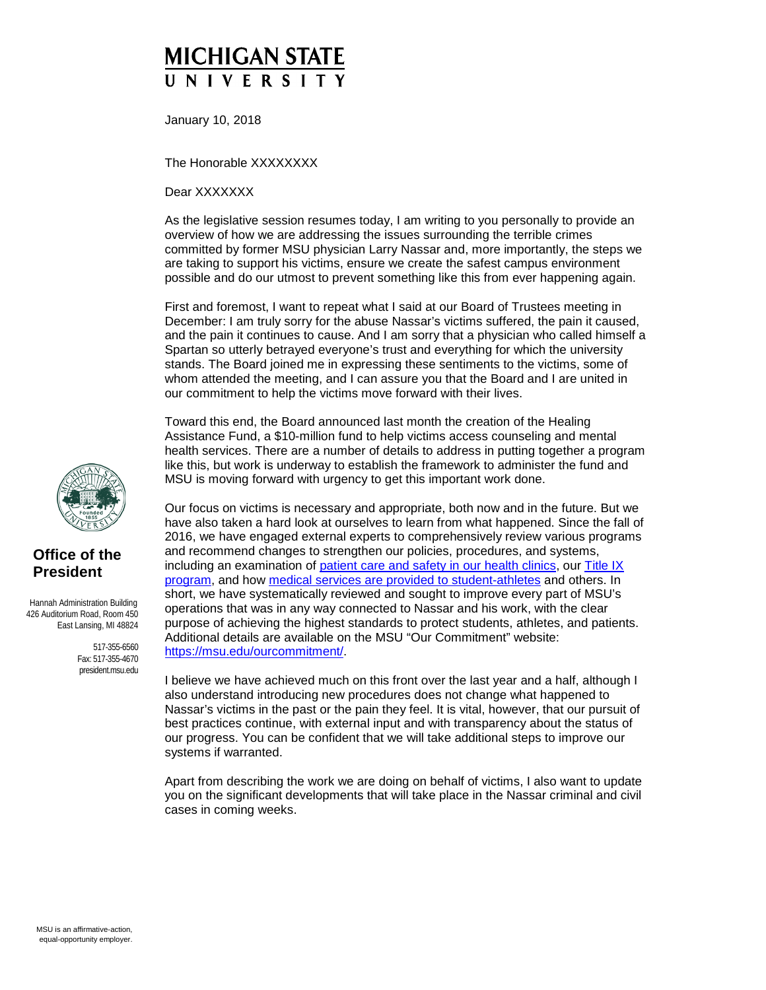## **MICHIGAN STATE NIVERSI**

January 10, 2018

The Honorable XXXXXXXX

Dear XXXXXXX

As the legislative session resumes today, I am writing to you personally to provide an overview of how we are addressing the issues surrounding the terrible crimes committed by former MSU physician Larry Nassar and, more importantly, the steps we are taking to support his victims, ensure we create the safest campus environment possible and do our utmost to prevent something like this from ever happening again.

First and foremost, I want to repeat what I said at our Board of Trustees meeting in December: I am truly sorry for the abuse Nassar's victims suffered, the pain it caused, and the pain it continues to cause. And I am sorry that a physician who called himself a Spartan so utterly betrayed everyone's trust and everything for which the university stands. The Board joined me in expressing these sentiments to the victims, some of whom attended the meeting, and I can assure you that the Board and I are united in our commitment to help the victims move forward with their lives.

Toward this end, the Board announced last month the creation of the Healing Assistance Fund, a \$10-million fund to help victims access counseling and mental health services. There are a number of details to address in putting together a program like this, but work is underway to establish the framework to administer the fund and MSU is moving forward with urgency to get this important work done.

Our focus on victims is necessary and appropriate, both now and in the future. But we have also taken a hard look at ourselves to learn from what happened. Since the fall of 2016, we have engaged external experts to comprehensively review various programs and recommend changes to strengthen our policies, procedures, and systems, including an examination of [patient care and safety in our health clinics,](https://msu.edu/ourcommitment/patient-safety/MSU-REPORT-122617.pdf) our [Title IX](http://titleix.msu.edu/information-reports/msu_report_2017_external.pdf)  [program,](http://titleix.msu.edu/information-reports/msu_report_2017_external.pdf) and how [medical services are provided to student-athletes](https://msu.edu/ourcommitment/patient-safety/Michigan-State-University-Review-of-Sports-Medicine-Services-10-2017.pdf) and others. In short, we have systematically reviewed and sought to improve every part of MSU's operations that was in any way connected to Nassar and his work, with the clear purpose of achieving the highest standards to protect students, athletes, and patients. Additional details are available on the MSU "Our Commitment" website: [https://msu.edu/ourcommitment/.](https://msu.edu/ourcommitment/)

I believe we have achieved much on this front over the last year and a half, although I also understand introducing new procedures does not change what happened to Nassar's victims in the past or the pain they feel. It is vital, however, that our pursuit of best practices continue, with external input and with transparency about the status of our progress. You can be confident that we will take additional steps to improve our systems if warranted.

Apart from describing the work we are doing on behalf of victims, I also want to update you on the significant developments that will take place in the Nassar criminal and civil cases in coming weeks.



## **Office of the President**

 Hannah Administration Building 426 Auditorium Road, Room 450 East Lansing, MI 48824

> 517-355-6560 Fax: 517-355-4670 president.msu.edu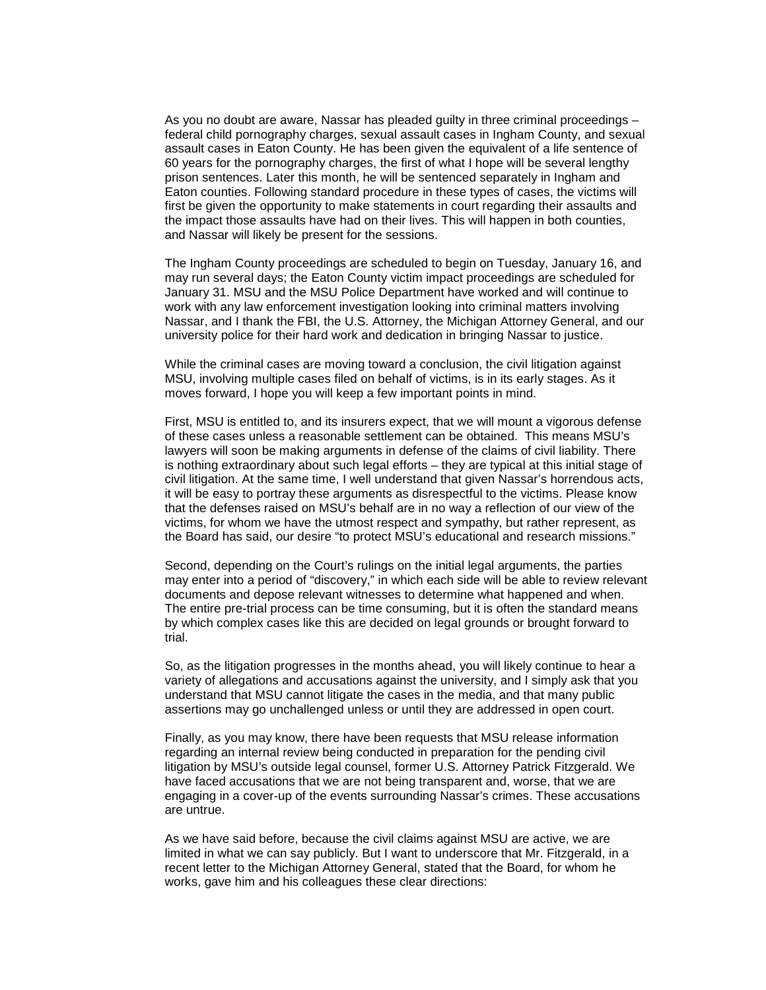As you no doubt are aware, Nassar has pleaded guilty in three criminal proceedings – federal child pornography charges, sexual assault cases in Ingham County, and sexual assault cases in Eaton County. He has been given the equivalent of a life sentence of 60 years for the pornography charges, the first of what I hope will be several lengthy prison sentences. Later this month, he will be sentenced separately in Ingham and Eaton counties. Following standard procedure in these types of cases, the victims will first be given the opportunity to make statements in court regarding their assaults and the impact those assaults have had on their lives. This will happen in both counties, and Nassar will likely be present for the sessions.

The Ingham County proceedings are scheduled to begin on Tuesday, January 16, and may run several days; the Eaton County victim impact proceedings are scheduled for January 31. MSU and the MSU Police Department have worked and will continue to work with any law enforcement investigation looking into criminal matters involving Nassar, and I thank the FBI, the U.S. Attorney, the Michigan Attorney General, and our university police for their hard work and dedication in bringing Nassar to justice.

While the criminal cases are moving toward a conclusion, the civil litigation against MSU, involving multiple cases filed on behalf of victims, is in its early stages. As it moves forward, I hope you will keep a few important points in mind.

First, MSU is entitled to, and its insurers expect, that we will mount a vigorous defense of these cases unless a reasonable settlement can be obtained. This means MSU's lawyers will soon be making arguments in defense of the claims of civil liability. There is nothing extraordinary about such legal efforts – they are typical at this initial stage of civil litigation. At the same time, I well understand that given Nassar's horrendous acts, it will be easy to portray these arguments as disrespectful to the victims. Please know that the defenses raised on MSU's behalf are in no way a reflection of our view of the victims, for whom we have the utmost respect and sympathy, but rather represent, as the Board has said, our desire "to protect MSU's educational and research missions."

Second, depending on the Court's rulings on the initial legal arguments, the parties may enter into a period of "discovery," in which each side will be able to review relevant documents and depose relevant witnesses to determine what happened and when. The entire pre-trial process can be time consuming, but it is often the standard means by which complex cases like this are decided on legal grounds or brought forward to trial.

So, as the litigation progresses in the months ahead, you will likely continue to hear a variety of allegations and accusations against the university, and I simply ask that you understand that MSU cannot litigate the cases in the media, and that many public assertions may go unchallenged unless or until they are addressed in open court.

Finally, as you may know, there have been requests that MSU release information regarding an internal review being conducted in preparation for the pending civil litigation by MSU's outside legal counsel, former U.S. Attorney Patrick Fitzgerald. We have faced accusations that we are not being transparent and, worse, that we are engaging in a cover-up of the events surrounding Nassar's crimes. These accusations are untrue.

As we have said before, because the civil claims against MSU are active, we are limited in what we can say publicly. But I want to underscore that Mr. Fitzgerald, in a recent letter to the Michigan Attorney General, stated that the Board, for whom he works, gave him and his colleagues these clear directions: